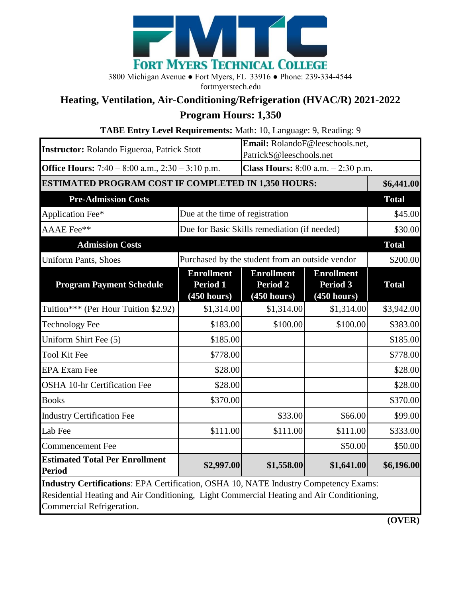

3800 Michigan Avenue ● Fort Myers, FL 33916 ● Phone: 239-334-4544

fortmyerstech.edu

## **Heating, Ventilation, Air-Conditioning/Refrigeration (HVAC/R) 2021-2022**

## **Program Hours: 1,350**

| TABE Entry Level Requirements: Math: 10, Language: 9, Reading: 9                                                                                                                                                     |                                                 |                                                            |                                                     |              |
|----------------------------------------------------------------------------------------------------------------------------------------------------------------------------------------------------------------------|-------------------------------------------------|------------------------------------------------------------|-----------------------------------------------------|--------------|
| <b>Instructor:</b> Rolando Figueroa, Patrick Stott                                                                                                                                                                   |                                                 | Email: RolandoF@leeschools.net,<br>PatrickS@leeschools.net |                                                     |              |
| Office Hours: $7:40 - 8:00$ a.m., $2:30 - 3:10$ p.m.                                                                                                                                                                 |                                                 | <b>Class Hours:</b> $8:00$ a.m. $-2:30$ p.m.               |                                                     |              |
| <b>ESTIMATED PROGRAM COST IF COMPLETED IN 1,350 HOURS:</b>                                                                                                                                                           |                                                 |                                                            |                                                     | \$6,441.00   |
| <b>Pre-Admission Costs</b>                                                                                                                                                                                           |                                                 |                                                            |                                                     | <b>Total</b> |
| Application Fee*                                                                                                                                                                                                     | Due at the time of registration                 |                                                            |                                                     | \$45.00      |
| AAAE Fee**                                                                                                                                                                                                           | Due for Basic Skills remediation (if needed)    |                                                            |                                                     | \$30.00      |
| <b>Admission Costs</b>                                                                                                                                                                                               |                                                 |                                                            |                                                     | <b>Total</b> |
| <b>Uniform Pants, Shoes</b>                                                                                                                                                                                          | Purchased by the student from an outside vendor |                                                            |                                                     | \$200.00     |
| <b>Program Payment Schedule</b>                                                                                                                                                                                      | <b>Enrollment</b><br>Period 1<br>(450 hours)    | <b>Enrollment</b><br><b>Period 2</b><br>(450 hours)        | <b>Enrollment</b><br><b>Period 3</b><br>(450 hours) | <b>Total</b> |
| Tuition*** (Per Hour Tuition \$2.92)                                                                                                                                                                                 | \$1,314.00                                      | \$1,314.00                                                 | \$1,314.00                                          | \$3,942.00   |
| <b>Technology Fee</b>                                                                                                                                                                                                | \$183.00                                        | \$100.00                                                   | \$100.00                                            | \$383.00     |
| Uniform Shirt Fee (5)                                                                                                                                                                                                | \$185.00                                        |                                                            |                                                     | \$185.00     |
| <b>Tool Kit Fee</b>                                                                                                                                                                                                  | \$778.00                                        |                                                            |                                                     | \$778.00     |
| <b>EPA Exam Fee</b>                                                                                                                                                                                                  | \$28.00                                         |                                                            |                                                     | \$28.00      |
| <b>OSHA 10-hr Certification Fee</b>                                                                                                                                                                                  | \$28.00                                         |                                                            |                                                     | \$28.00      |
| <b>Books</b>                                                                                                                                                                                                         | \$370.00                                        |                                                            |                                                     | \$370.00     |
| <b>Industry Certification Fee</b>                                                                                                                                                                                    |                                                 | \$33.00                                                    | \$66.00                                             | \$99.00      |
| Lab Fee                                                                                                                                                                                                              | \$111.00                                        | \$111.00                                                   | \$111.00                                            | \$333.00     |
| <b>Commencement Fee</b>                                                                                                                                                                                              |                                                 |                                                            | \$50.00                                             | \$50.00      |
| <b>Estimated Total Per Enrollment</b><br><b>Period</b>                                                                                                                                                               | \$2,997.00                                      | \$1,558.00                                                 | \$1,641.00                                          | \$6,196.00   |
| <b>Industry Certifications: EPA Certification, OSHA 10, NATE Industry Competency Exams:</b><br>Residential Heating and Air Conditioning, Light Commercial Heating and Air Conditioning,<br>Commercial Refrigeration. |                                                 |                                                            |                                                     |              |